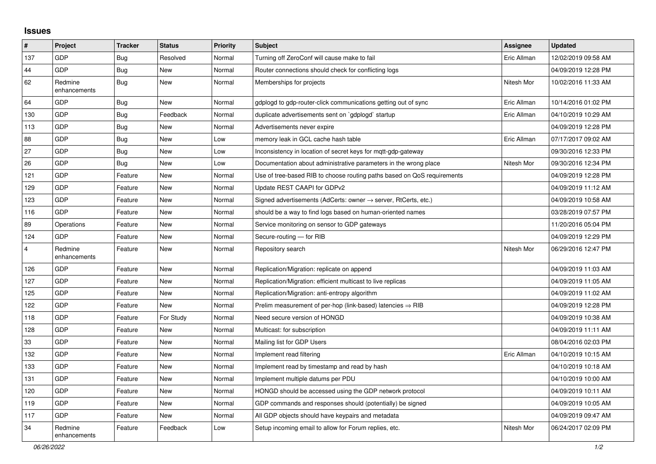## **Issues**

| #              | Project                 | <b>Tracker</b> | <b>Status</b> | <b>Priority</b> | <b>Subject</b>                                                             | Assignee    | <b>Updated</b>      |
|----------------|-------------------------|----------------|---------------|-----------------|----------------------------------------------------------------------------|-------------|---------------------|
| 137            | <b>GDP</b>              | <b>Bug</b>     | Resolved      | Normal          | Turning off ZeroConf will cause make to fail                               | Eric Allman | 12/02/2019 09:58 AM |
| 44             | <b>GDP</b>              | <b>Bug</b>     | <b>New</b>    | Normal          | Router connections should check for conflicting logs                       |             | 04/09/2019 12:28 PM |
| 62             | Redmine<br>enhancements | <b>Bug</b>     | <b>New</b>    | Normal          | Memberships for projects                                                   | Nitesh Mor  | 10/02/2016 11:33 AM |
| 64             | GDP                     | <b>Bug</b>     | <b>New</b>    | Normal          | gdplogd to gdp-router-click communications getting out of sync             | Eric Allman | 10/14/2016 01:02 PM |
| 130            | GDP                     | <b>Bug</b>     | Feedback      | Normal          | duplicate advertisements sent on `gdplogd` startup                         | Eric Allman | 04/10/2019 10:29 AM |
| 113            | <b>GDP</b>              | Bug            | <b>New</b>    | Normal          | Advertisements never expire                                                |             | 04/09/2019 12:28 PM |
| 88             | GDP                     | Bug            | <b>New</b>    | Low             | memory leak in GCL cache hash table                                        | Eric Allman | 07/17/2017 09:02 AM |
| 27             | <b>GDP</b>              | <b>Bug</b>     | <b>New</b>    | Low             | Inconsistency in location of secret keys for mqtt-gdp-gateway              |             | 09/30/2016 12:33 PM |
| 26             | <b>GDP</b>              | <b>Bug</b>     | <b>New</b>    | Low             | Documentation about administrative parameters in the wrong place           | Nitesh Mor  | 09/30/2016 12:34 PM |
| 121            | GDP                     | Feature        | New           | Normal          | Use of tree-based RIB to choose routing paths based on QoS requirements    |             | 04/09/2019 12:28 PM |
| 129            | GDP                     | Feature        | <b>New</b>    | Normal          | Update REST CAAPI for GDPv2                                                |             | 04/09/2019 11:12 AM |
| 123            | GDP                     | Feature        | <b>New</b>    | Normal          | Signed advertisements (AdCerts: owner $\rightarrow$ server, RtCerts, etc.) |             | 04/09/2019 10:58 AM |
| 116            | <b>GDP</b>              | Feature        | New           | Normal          | should be a way to find logs based on human-oriented names                 |             | 03/28/2019 07:57 PM |
| 89             | Operations              | Feature        | <b>New</b>    | Normal          | Service monitoring on sensor to GDP gateways                               |             | 11/20/2016 05:04 PM |
| 124            | GDP                     | Feature        | <b>New</b>    | Normal          | Secure-routing - for RIB                                                   |             | 04/09/2019 12:29 PM |
| $\overline{4}$ | Redmine<br>enhancements | Feature        | <b>New</b>    | Normal          | Repository search                                                          | Nitesh Mor  | 06/29/2016 12:47 PM |
| 126            | <b>GDP</b>              | Feature        | <b>New</b>    | Normal          | Replication/Migration: replicate on append                                 |             | 04/09/2019 11:03 AM |
| 127            | <b>GDP</b>              | Feature        | <b>New</b>    | Normal          | Replication/Migration: efficient multicast to live replicas                |             | 04/09/2019 11:05 AM |
| 125            | GDP                     | Feature        | <b>New</b>    | Normal          | Replication/Migration: anti-entropy algorithm                              |             | 04/09/2019 11:02 AM |
| 122            | <b>GDP</b>              | Feature        | <b>New</b>    | Normal          | Prelim measurement of per-hop (link-based) latencies $\Rightarrow$ RIB     |             | 04/09/2019 12:28 PM |
| 118            | <b>GDP</b>              | Feature        | For Study     | Normal          | Need secure version of HONGD                                               |             | 04/09/2019 10:38 AM |
| 128            | <b>GDP</b>              | Feature        | <b>New</b>    | Normal          | Multicast: for subscription                                                |             | 04/09/2019 11:11 AM |
| 33             | GDP                     | Feature        | <b>New</b>    | Normal          | Mailing list for GDP Users                                                 |             | 08/04/2016 02:03 PM |
| 132            | <b>GDP</b>              | Feature        | <b>New</b>    | Normal          | Implement read filtering                                                   | Eric Allman | 04/10/2019 10:15 AM |
| 133            | <b>GDP</b>              | Feature        | <b>New</b>    | Normal          | Implement read by timestamp and read by hash                               |             | 04/10/2019 10:18 AM |
| 131            | GDP                     | Feature        | <b>New</b>    | Normal          | Implement multiple datums per PDU                                          |             | 04/10/2019 10:00 AM |
| 120            | GDP                     | Feature        | <b>New</b>    | Normal          | HONGD should be accessed using the GDP network protocol                    |             | 04/09/2019 10:11 AM |
| 119            | GDP                     | Feature        | <b>New</b>    | Normal          | GDP commands and responses should (potentially) be signed                  |             | 04/09/2019 10:05 AM |
| 117            | <b>GDP</b>              | Feature        | <b>New</b>    | Normal          | All GDP objects should have keypairs and metadata                          |             | 04/09/2019 09:47 AM |
| 34             | Redmine<br>enhancements | Feature        | Feedback      | Low             | Setup incoming email to allow for Forum replies, etc.                      | Nitesh Mor  | 06/24/2017 02:09 PM |